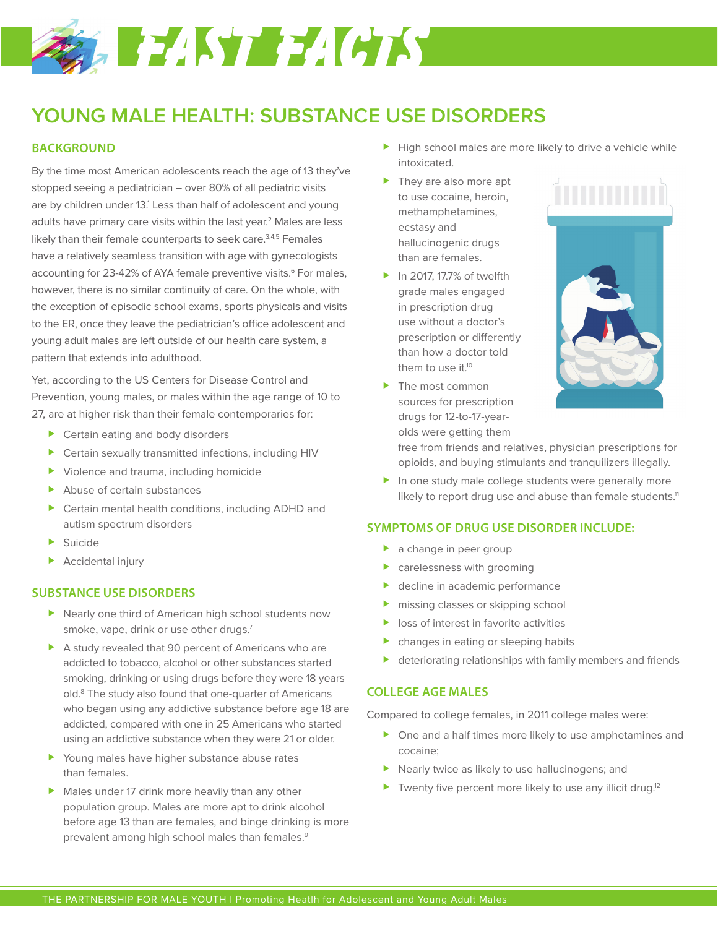# **SALE AND FACTS**

## **YOUNG MALE HEALTH: SUBSTANCE USE DISORDERS**

### **BACKGROUND**

By the time most American adolescents reach the age of 13 they've stopped seeing a pediatrician – over 80% of all pediatric visits are by children under 13.<sup>1</sup> Less than half of adolescent and young adults have primary care visits within the last year.<sup>2</sup> Males are less likely than their female counterparts to seek care.<sup>3,4,5</sup> Females have a relatively seamless transition with age with gynecologists accounting for 23-42% of AYA female preventive visits.<sup>6</sup> For males, however, there is no similar continuity of care. On the whole, with the exception of episodic school exams, sports physicals and visits to the ER, once they leave the pediatrician's office adolescent and young adult males are left outside of our health care system, a pattern that extends into adulthood.

Yet, according to the US Centers for Disease Control and Prevention, young males, or males within the age range of 10 to 27, are at higher risk than their female contemporaries for:

- ▶ Certain eating and body disorders
- Certain sexually transmitted infections, including HIV
- ▶ Violence and trauma, including homicide
- Abuse of certain substances
- Certain mental health conditions, including ADHD and autism spectrum disorders
- $\blacktriangleright$  Suicide
- **Accidental injury**

#### **SUBSTANCE USE DISORDERS**

- ▶ Nearly one third of American high school students now smoke, vape, drink or use other drugs.<sup>7</sup>
- A study revealed that 90 percent of Americans who are addicted to tobacco, alcohol or other substances started smoking, drinking or using drugs before they were 18 years old.<sup>8</sup> The study also found that one-quarter of Americans who began using any addictive substance before age 18 are addicted, compared with one in 25 Americans who started using an addictive substance when they were 21 or older.
- Young males have higher substance abuse rates than females.
- Males under 17 drink more heavily than any other population group. Males are more apt to drink alcohol before age 13 than are females, and binge drinking is more prevalent among high school males than females.<sup>9</sup>
- High school males are more likely to drive a vehicle while intoxicated.
- ▶ They are also more apt to use cocaine, heroin, methamphetamines, ecstasy and hallucinogenic drugs than are females.
- In 2017, 17.7% of twelfth grade males engaged in prescription drug use without a doctor's prescription or differently than how a doctor told them to use it.<sup>10</sup>
- The most common sources for prescription drugs for 12-to-17-yearolds were getting them





free from friends and relatives, physician prescriptions for opioids, and buying stimulants and tranquilizers illegally.

 $\blacktriangleright$  In one study male college students were generally more likely to report drug use and abuse than female students.<sup>11</sup>

#### **SYMPTOMS OF DRUG USE DISORDER INCLUDE:**

- **a** change in peer group
- carelessness with grooming
- decline in academic performance
- **Missing classes or skipping school**
- **In loss of interest in favorite activities**
- changes in eating or sleeping habits
- deteriorating relationships with family members and friends

#### **COLLEGE AGE MALES**

Compared to college females, in 2011 college males were:

- ▶ One and a half times more likely to use amphetamines and cocaine;
- ▶ Nearly twice as likely to use hallucinogens; and
- Twenty five percent more likely to use any illicit drug.<sup>12</sup>